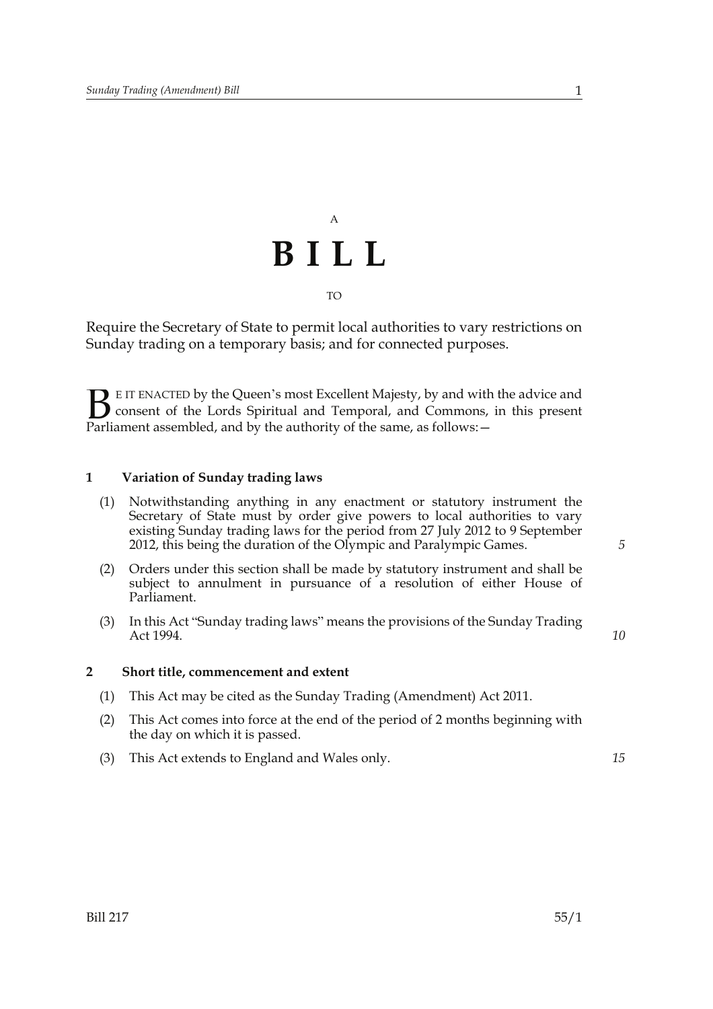## A **BILL** TO

Require the Secretary of State to permit local authorities to vary restrictions on Sunday trading on a temporary basis; and for connected purposes.

E IT ENACTED by the Queen's most Excellent Majesty, by and with the advice and consent of the Lords Spiritual and Temporal, and Commons, in this present **B** E IT ENACTED by the Queen's most Excellent Majesty, by and with consent of the Lords Spiritual and Temporal, and Commons, Parliament assembled, and by the authority of the same, as follows:  $-$ 

## **1 Variation of Sunday trading laws**

- (1) Notwithstanding anything in any enactment or statutory instrument the Secretary of State must by order give powers to local authorities to vary existing Sunday trading laws for the period from 27 July 2012 to 9 September 2012, this being the duration of the Olympic and Paralympic Games.
- (2) Orders under this section shall be made by statutory instrument and shall be subject to annulment in pursuance of a resolution of either House of Parliament.
- (3) In this Act "Sunday trading laws" means the provisions of the Sunday Trading Act 1994.

*10*

*15*

*5*

## **2 Short title, commencement and extent**

- (1) This Act may be cited as the Sunday Trading (Amendment) Act 2011.
- (2) This Act comes into force at the end of the period of 2 months beginning with the day on which it is passed.
- (3) This Act extends to England and Wales only.